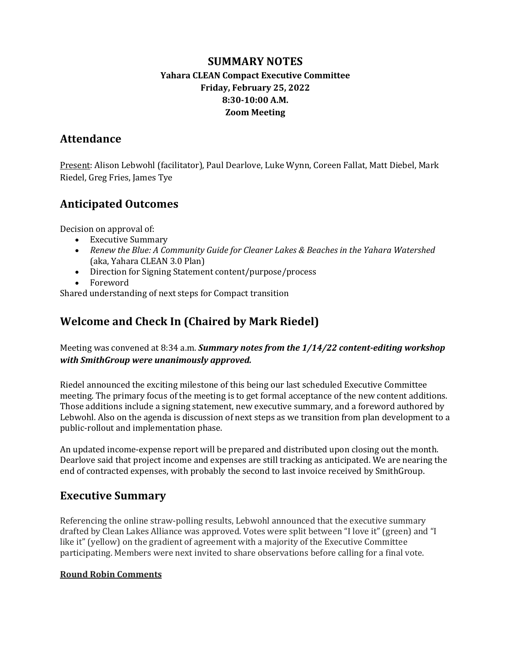### **SUMMARY NOTES Yahara CLEAN Compact Executive Committee Friday, February 25, 2022 8:30-10:00 A.M. Zoom Meeting**

### **Attendance**

Present: Alison Lebwohl (facilitator), Paul Dearlove, Luke Wynn, Coreen Fallat, Matt Diebel. Mark Riedel, Greg Fries, James Tye

# **Anticipated Outcomes**

Decision on approval of:

- Executive Summary
- Renew the Blue: A Community Guide for Cleaner Lakes & Beaches in the Yahara Watershed (aka, Yahara CLEAN 3.0 Plan)
- Direction for Signing Statement content/purpose/process
- Foreword

Shared understanding of next steps for Compact transition

# **Welcome and Check In (Chaired by Mark Riedel)**

Meeting was convened at 8:34 a.m. **Summary notes from the 1/14/22 content-editing workshop** *with SmithGroup were unanimously approved.* 

Riedel announced the exciting milestone of this being our last scheduled Executive Committee meeting. The primary focus of the meeting is to get formal acceptance of the new content additions. Those additions include a signing statement, new executive summary, and a foreword authored by Lebwohl. Also on the agenda is discussion of next steps as we transition from plan development to a public-rollout and implementation phase.

An updated income-expense report will be prepared and distributed upon closing out the month. Dearlove said that project income and expenses are still tracking as anticipated. We are nearing the end of contracted expenses, with probably the second to last invoice received by SmithGroup.

### **Executive Summary**

Referencing the online straw-polling results, Lebwohl announced that the executive summary drafted by Clean Lakes Alliance was approved. Votes were split between "I love it" (green) and "I like it" (yellow) on the gradient of agreement with a majority of the Executive Committee participating. Members were next invited to share observations before calling for a final vote.

#### **Round Robin Comments**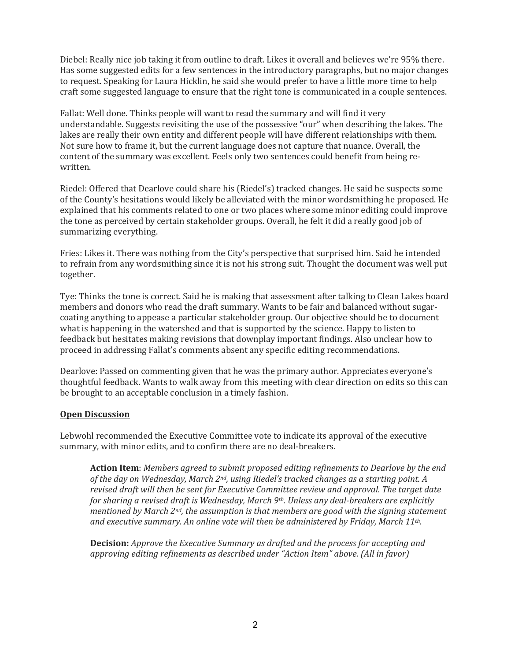Diebel: Really nice job taking it from outline to draft. Likes it overall and believes we're 95% there. Has some suggested edits for a few sentences in the introductory paragraphs, but no major changes to request. Speaking for Laura Hicklin, he said she would prefer to have a little more time to help craft some suggested language to ensure that the right tone is communicated in a couple sentences.

Fallat: Well done. Thinks people will want to read the summary and will find it very understandable. Suggests revisiting the use of the possessive "our" when describing the lakes. The lakes are really their own entity and different people will have different relationships with them. Not sure how to frame it, but the current language does not capture that nuance. Overall, the content of the summary was excellent. Feels only two sentences could benefit from being rewritten.

Riedel: Offered that Dearlove could share his (Riedel's) tracked changes. He said he suspects some of the County's hesitations would likely be alleviated with the minor wordsmithing he proposed. He explained that his comments related to one or two places where some minor editing could improve the tone as perceived by certain stakeholder groups. Overall, he felt it did a really good job of summarizing everything.

Fries: Likes it. There was nothing from the City's perspective that surprised him. Said he intended to refrain from any wordsmithing since it is not his strong suit. Thought the document was well put together. 

Tye: Thinks the tone is correct. Said he is making that assessment after talking to Clean Lakes board members and donors who read the draft summary. Wants to be fair and balanced without sugarcoating anything to appease a particular stakeholder group. Our objective should be to document what is happening in the watershed and that is supported by the science. Happy to listen to feedback but hesitates making revisions that downplay important findings. Also unclear how to proceed in addressing Fallat's comments absent any specific editing recommendations.

Dearlove: Passed on commenting given that he was the primary author. Appreciates everyone's thoughtful feedback. Wants to walk away from this meeting with clear direction on edits so this can be brought to an acceptable conclusion in a timely fashion.

#### **Open Discussion**

Lebwohl recommended the Executive Committee vote to indicate its approval of the executive summary, with minor edits, and to confirm there are no deal-breakers.

**Action Item**: Members agreed to submit proposed editing refinements to Dearlove by the end of the day on Wednesday, March 2<sup>nd</sup>, using Riedel's tracked changes as a starting point. A *revised draft will then be sent for Executive Committee review and approval. The target date for sharing a revised draft is Wednesday, March 9th. Unless any deal-breakers are explicitly mentioned by March 2<sup>nd</sup>, the assumption is that members are good with the signing statement* and executive summary. An online vote will then be administered by Friday, March 11<sup>th</sup>.

**Decision:** *Approve the Executive Summary as drafted and the process for accepting and* approving editing refinements as described under "Action Item" above. (All in favor)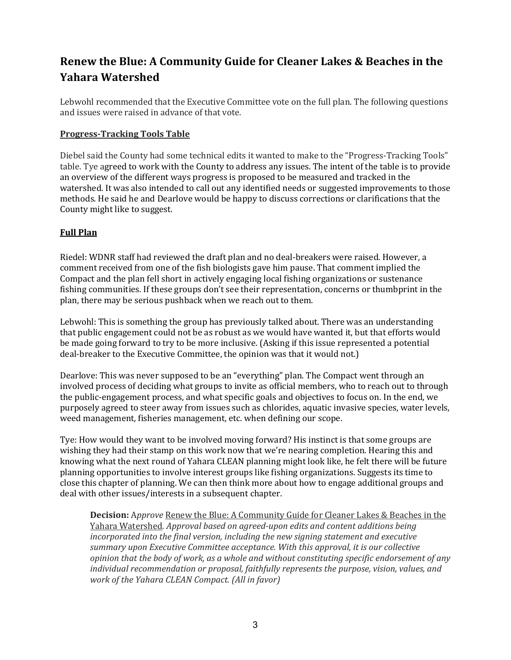# **Renew the Blue: A Community Guide for Cleaner Lakes & Beaches in the Yahara Watershed**

Lebwohl recommended that the Executive Committee vote on the full plan. The following questions and issues were raised in advance of that vote.

#### **Progress-Tracking Tools Table**

Diebel said the County had some technical edits it wanted to make to the "Progress-Tracking Tools" table. Tye agreed to work with the County to address any issues. The intent of the table is to provide an overview of the different ways progress is proposed to be measured and tracked in the watershed. It was also intended to call out any identified needs or suggested improvements to those methods. He said he and Dearlove would be happy to discuss corrections or clarifications that the County might like to suggest.

#### **Full Plan**

Riedel: WDNR staff had reviewed the draft plan and no deal-breakers were raised. However, a comment received from one of the fish biologists gave him pause. That comment implied the Compact and the plan fell short in actively engaging local fishing organizations or sustenance fishing communities. If these groups don't see their representation, concerns or thumbprint in the plan, there may be serious pushback when we reach out to them.

Lebwohl: This is something the group has previously talked about. There was an understanding that public engagement could not be as robust as we would have wanted it, but that efforts would be made going forward to try to be more inclusive. (Asking if this issue represented a potential deal-breaker to the Executive Committee, the opinion was that it would not.)

Dearlove: This was never supposed to be an "everything" plan. The Compact went through an involved process of deciding what groups to invite as official members, who to reach out to through the public-engagement process, and what specific goals and objectives to focus on. In the end, we purposely agreed to steer away from issues such as chlorides, aquatic invasive species, water levels, weed management, fisheries management, etc. when defining our scope.

Tye: How would they want to be involved moving forward? His instinct is that some groups are wishing they had their stamp on this work now that we're nearing completion. Hearing this and knowing what the next round of Yahara CLEAN planning might look like, he felt there will be future planning opportunities to involve interest groups like fishing organizations. Suggests its time to close this chapter of planning. We can then think more about how to engage additional groups and deal with other issues/interests in a subsequent chapter.

**Decision:** Approve Renew the Blue: A Community Guide for Cleaner Lakes & Beaches in the Yahara Watershed*. Approval based on agreed-upon edits and content additions being incorporated into the final version, including the new signing statement and executive summary upon Executive Committee acceptance. With this approval, it is our collective opinion* that the body of work, as a whole and without constituting specific endorsement of any *individual recommendation or proposal, faithfully represents the purpose, vision, values, and work of the Yahara CLEAN Compact. (All in favor)*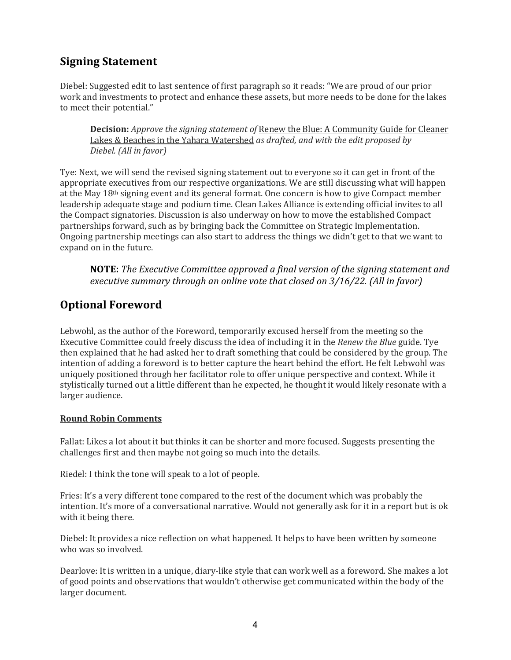## **Signing Statement**

Diebel: Suggested edit to last sentence of first paragraph so it reads: "We are proud of our prior work and investments to protect and enhance these assets, but more needs to be done for the lakes to meet their potential."

**Decision:** *Approve the signing statement of* Renew the Blue: A Community Guide for Cleaner Lakes & Beaches in the Yahara Watershed *as drafted, and with the edit proposed by Diebel. (All in favor)*

Tye: Next, we will send the revised signing statement out to everyone so it can get in front of the appropriate executives from our respective organizations. We are still discussing what will happen at the May 18<sup>th</sup> signing event and its general format. One concern is how to give Compact member leadership adequate stage and podium time. Clean Lakes Alliance is extending official invites to all the Compact signatories. Discussion is also underway on how to move the established Compact partnerships forward, such as by bringing back the Committee on Strategic Implementation. Ongoing partnership meetings can also start to address the things we didn't get to that we want to expand on in the future.

**NOTE:** The Executive Committee approved a final version of the signing statement and *executive summary through an online vote that closed on 3/16/22. (All in favor)* 

### **Optional Foreword**

Lebwohl, as the author of the Foreword, temporarily excused herself from the meeting so the Executive Committee could freely discuss the idea of including it in the *Renew the Blue* guide. Tye then explained that he had asked her to draft something that could be considered by the group. The intention of adding a foreword is to better capture the heart behind the effort. He felt Lebwohl was uniquely positioned through her facilitator role to offer unique perspective and context. While it stylistically turned out a little different than he expected, he thought it would likely resonate with a larger audience.

#### **Round Robin Comments**

Fallat: Likes a lot about it but thinks it can be shorter and more focused. Suggests presenting the challenges first and then maybe not going so much into the details.

Riedel: I think the tone will speak to a lot of people.

Fries: It's a very different tone compared to the rest of the document which was probably the intention. It's more of a conversational narrative. Would not generally ask for it in a report but is ok with it being there.

Diebel: It provides a nice reflection on what happened. It helps to have been written by someone who was so involved.

Dearlove: It is written in a unique, diary-like style that can work well as a foreword. She makes a lot of good points and observations that wouldn't otherwise get communicated within the body of the larger document.